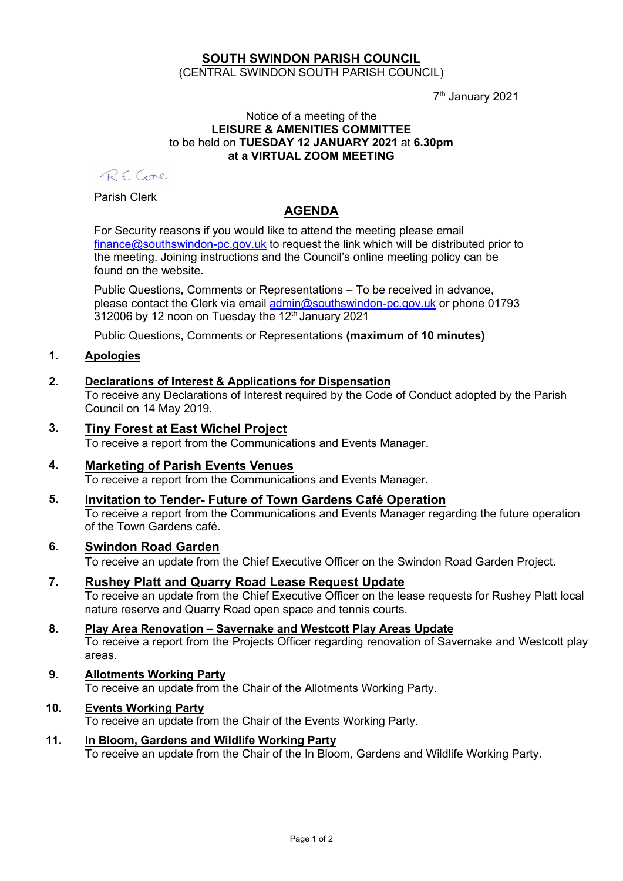# SOUTH SWINDON PARISH COUNCIL (CENTRAL SWINDON SOUTH PARISH COUNCIL)

7 th January 2021

#### Notice of a meeting of the LEISURE & AMENITIES COMMITTEE to be held on TUESDAY 12 JANUARY 2021 at 6.30pm at a VIRTUAL ZOOM MEETING

RECore

Parish Clerk

# AGENDA

For Security reasons if you would like to attend the meeting please email finance@southswindon-pc.gov.uk to request the link which will be distributed prior to the meeting. Joining instructions and the Council's online meeting policy can be found on the website.

Public Questions, Comments or Representations – To be received in advance, please contact the Clerk via email admin@southswindon-pc.gov.uk or phone 01793  $312006$  by 12 noon on Tuesday the  $12<sup>th</sup>$  January 2021

Public Questions, Comments or Representations (maximum of 10 minutes)

## 1. Apologies

## 2. Declarations of Interest & Applications for Dispensation

To receive any Declarations of Interest required by the Code of Conduct adopted by the Parish Council on 14 May 2019.

- 3. Tiny Forest at East Wichel Project To receive a report from the Communications and Events Manager.
- 4. Marketing of Parish Events Venues To receive a report from the Communications and Events Manager.
- 5. Invitation to Tender- Future of Town Gardens Café Operation To receive a report from the Communications and Events Manager regarding the future operation of the Town Gardens café.

#### 6. Swindon Road Garden

To receive an update from the Chief Executive Officer on the Swindon Road Garden Project.

7. Rushey Platt and Quarry Road Lease Request Update

To receive an update from the Chief Executive Officer on the lease requests for Rushey Platt local nature reserve and Quarry Road open space and tennis courts.

- 8. Play Area Renovation Savernake and Westcott Play Areas Update To receive a report from the Projects Officer regarding renovation of Savernake and Westcott play areas.
- 9. Allotments Working Party To receive an update from the Chair of the Allotments Working Party.
- 10. Events Working Party To receive an update from the Chair of the Events Working Party.
- 11. In Bloom, Gardens and Wildlife Working Party To receive an update from the Chair of the In Bloom, Gardens and Wildlife Working Party.